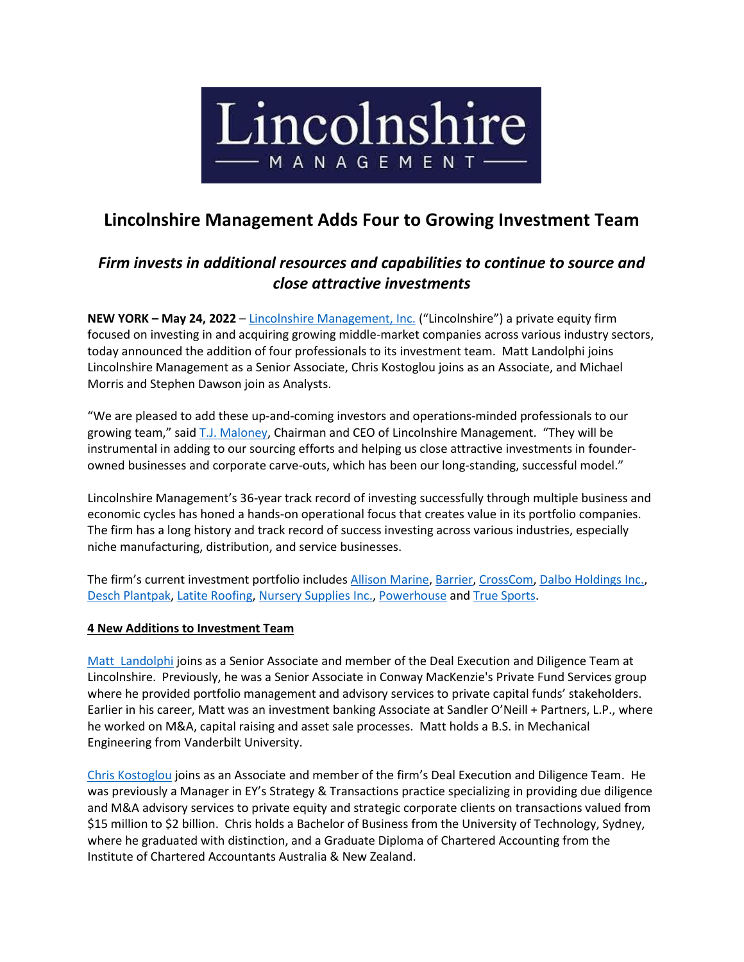

## **Lincolnshire Management Adds Four to Growing Investment Team**

## *Firm invests in additional resources and capabilities to continue to source and close attractive investments*

**NEW YORK – May 24, 2022** – [Lincolnshire Management, Inc.](https://www.lincolnshiremgmt.com/) ("Lincolnshire") a private equity firm focused on investing in and acquiring growing middle-market companies across various industry sectors, today announced the addition of four professionals to its investment team. Matt Landolphi joins Lincolnshire Management as a Senior Associate, Chris Kostoglou joins as an Associate, and Michael Morris and Stephen Dawson join as Analysts.

"We are pleased to add these up-and-coming investors and operations-minded professionals to our growing team," said [T.J. Maloney,](https://www.lincolnshiremgmt.com/leadership/tj-maloney/) Chairman and CEO of Lincolnshire Management. "They will be instrumental in adding to our sourcing efforts and helping us close attractive investments in founderowned businesses and corporate carve-outs, which has been our long-standing, successful model."

Lincolnshire Management's 36-year track record of investing successfully through multiple business and economic cycles has honed a hands-on operational focus that creates value in its portfolio companies. The firm has a long history and track record of success investing across various industries, especially niche manufacturing, distribution, and service businesses.

The firm's current investment portfolio includes [Allison Marine, Barrier, CrossCom, Dalbo Holdings](https://www.lincolnshiremgmt.com/portfolio/) Inc., [Desch Plantpak, Latite Roofing, Nursery Supplies Inc., Powerhouse](https://www.lincolnshiremgmt.com/portfolio/) an[d True Sports.](https://www.lincolnshiremgmt.com/portfolio/)

## **4 New Additions to Investment Team**

[Matt Landolphi](http://www.linkedin.com/in/mattlandolphi/) joins as a Senior Associate and member of the Deal Execution and Diligence Team at Lincolnshire. Previously, he was a Senior Associate in Conway MacKenzie's Private Fund Services group where he provided portfolio management and advisory services to private capital funds' stakeholders. Earlier in his career, Matt was an investment banking Associate at Sandler O'Neill + Partners, L.P., where he worked on M&A, capital raising and asset sale processes. Matt holds a B.S. in Mechanical Engineering from Vanderbilt University.

[Chris Kostoglou](https://www.lincolnshiremgmt.com/leadership/chris-kostoglou/) joins as an Associate and member of the firm's Deal Execution and Diligence Team. He was previously a Manager in EY's Strategy & Transactions practice specializing in providing due diligence and M&A advisory services to private equity and strategic corporate clients on transactions valued from \$15 million to \$2 billion. Chris holds a Bachelor of Business from the University of Technology, Sydney, where he graduated with distinction, and a Graduate Diploma of Chartered Accounting from the Institute of Chartered Accountants Australia & New Zealand.